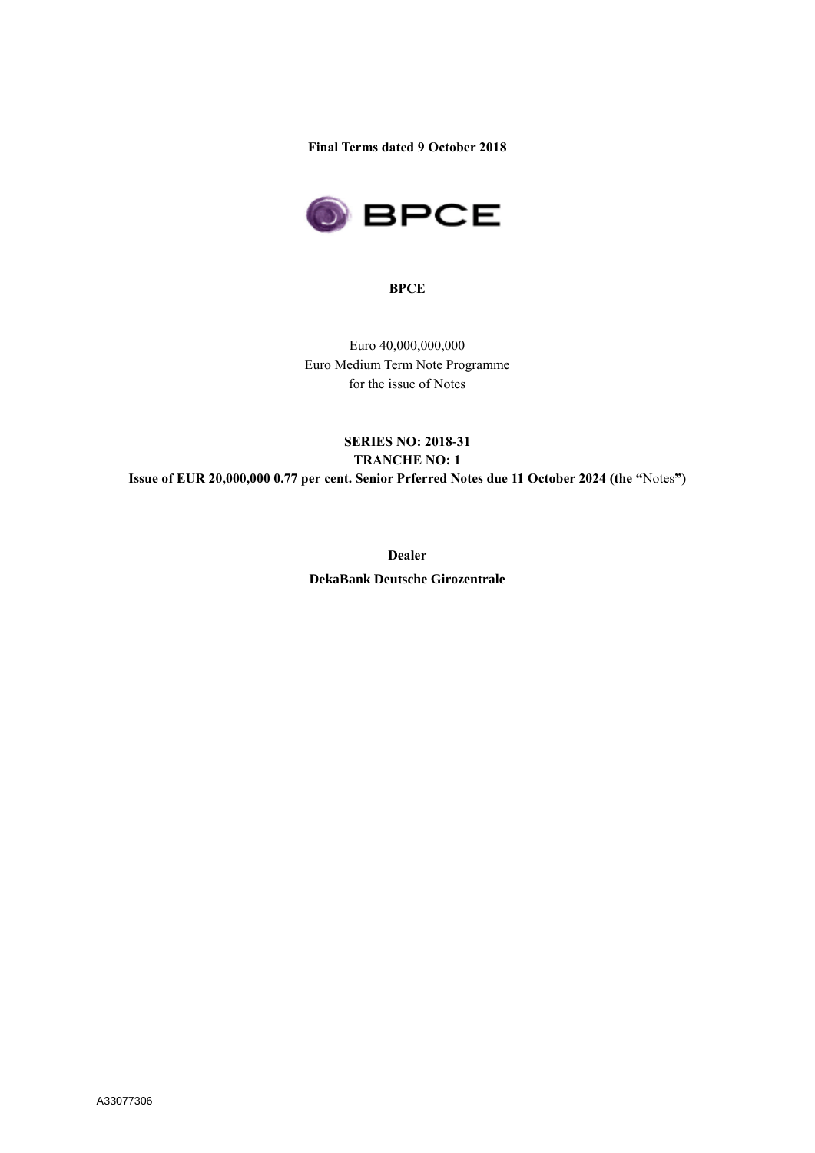**Final Terms dated 9 October 2018**



**BPCE**

Euro 40,000,000,000 Euro Medium Term Note Programme for the issue of Notes

# **SERIES NO: 2018-31 TRANCHE NO: 1 Issue of EUR 20,000,000 0.77 per cent. Senior Prferred Notes due 11 October 2024 (the "**Notes**")**

**Dealer DekaBank Deutsche Girozentrale**

A33077306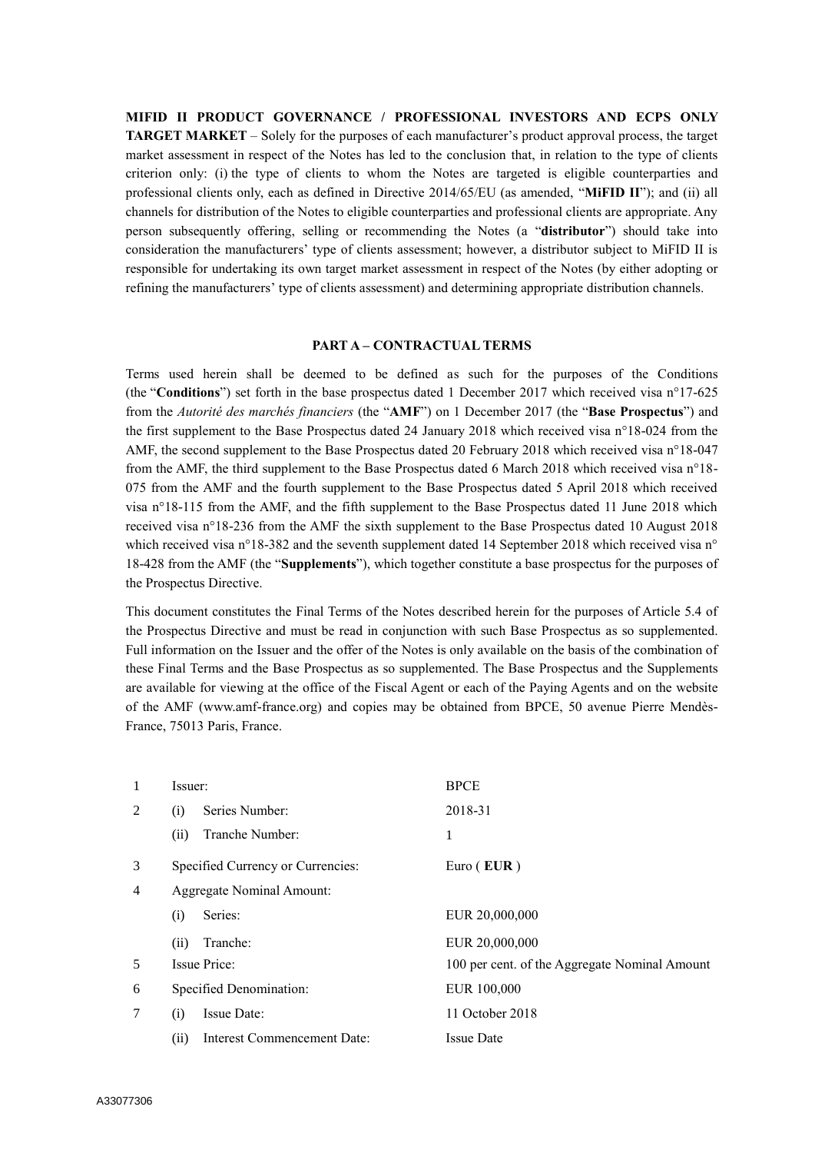**MIFID II PRODUCT GOVERNANCE / PROFESSIONAL INVESTORS AND ECPS ONLY TARGET MARKET** – Solely for the purposes of each manufacturer's product approval process, the target market assessment in respect of the Notes has led to the conclusion that, in relation to the type of clients criterion only: (i) the type of clients to whom the Notes are targeted is eligible counterparties and professional clients only, each as defined in Directive 2014/65/EU (as amended, "**MiFID II**"); and (ii) all channels for distribution of the Notes to eligible counterparties and professional clients are appropriate. Any person subsequently offering, selling or recommending the Notes (a "**distributor**") should take into consideration the manufacturers' type of clients assessment; however, a distributor subject to MiFID II is responsible for undertaking its own target market assessment in respect of the Notes (by either adopting or refining the manufacturers' type of clients assessment) and determining appropriate distribution channels.

#### **PART A – CONTRACTUAL TERMS**

Terms used herein shall be deemed to be defined as such for the purposes of the Conditions (the "**Conditions**") set forth in the base prospectus dated 1 December 2017 which received visa n°17-625 from the *Autorité des marchés financiers* (the "**AMF**") on 1 December 2017 (the "**Base Prospectus**") and the first supplement to the Base Prospectus dated 24 January 2018 which received visa n°18-024 from the AMF, the second supplement to the Base Prospectus dated 20 February 2018 which received visa n°18-047 from the AMF, the third supplement to the Base Prospectus dated 6 March 2018 which received visa n°18- 075 from the AMF and the fourth supplement to the Base Prospectus dated 5 April 2018 which received visa n°18-115 from the AMF, and the fifth supplement to the Base Prospectus dated 11 June 2018 which received visa n°18-236 from the AMF the sixth supplement to the Base Prospectus dated 10 August 2018 which received visa n°18-382 and the seventh supplement dated 14 September 2018 which received visa n° 18-428 from the AMF (the "**Supplements**"), which together constitute a base prospectus for the purposes of the Prospectus Directive.

This document constitutes the Final Terms of the Notes described herein for the purposes of Article 5.4 of the Prospectus Directive and must be read in conjunction with such Base Prospectus as so supplemented. Full information on the Issuer and the offer of the Notes is only available on the basis of the combination of these Final Terms and the Base Prospectus as so supplemented. The Base Prospectus and the Supplements are available for viewing at the office of the Fiscal Agent or each of the Paying Agents and on the website of the AMF (www.amf-france.org) and copies may be obtained from BPCE, 50 avenue Pierre Mendès-France, 75013 Paris, France.

| 1              | Issuer: |                                   | <b>BPCE</b>                                   |
|----------------|---------|-----------------------------------|-----------------------------------------------|
| 2              | (i)     | Series Number:                    | 2018-31                                       |
|                | (ii)    | Tranche Number:                   | 1                                             |
| 3              |         | Specified Currency or Currencies: | Euro $(EUR)$                                  |
| $\overline{4}$ |         | <b>Aggregate Nominal Amount:</b>  |                                               |
|                | (i)     | Series:                           | EUR 20,000,000                                |
|                | (ii)    | Tranche:                          | EUR 20,000,000                                |
| 5              |         | Issue Price:                      | 100 per cent. of the Aggregate Nominal Amount |
| 6              |         | Specified Denomination:           | EUR 100,000                                   |
| 7              | (i)     | Issue Date:                       | 11 October 2018                               |
|                | (ii)    | Interest Commencement Date:       | <b>Issue Date</b>                             |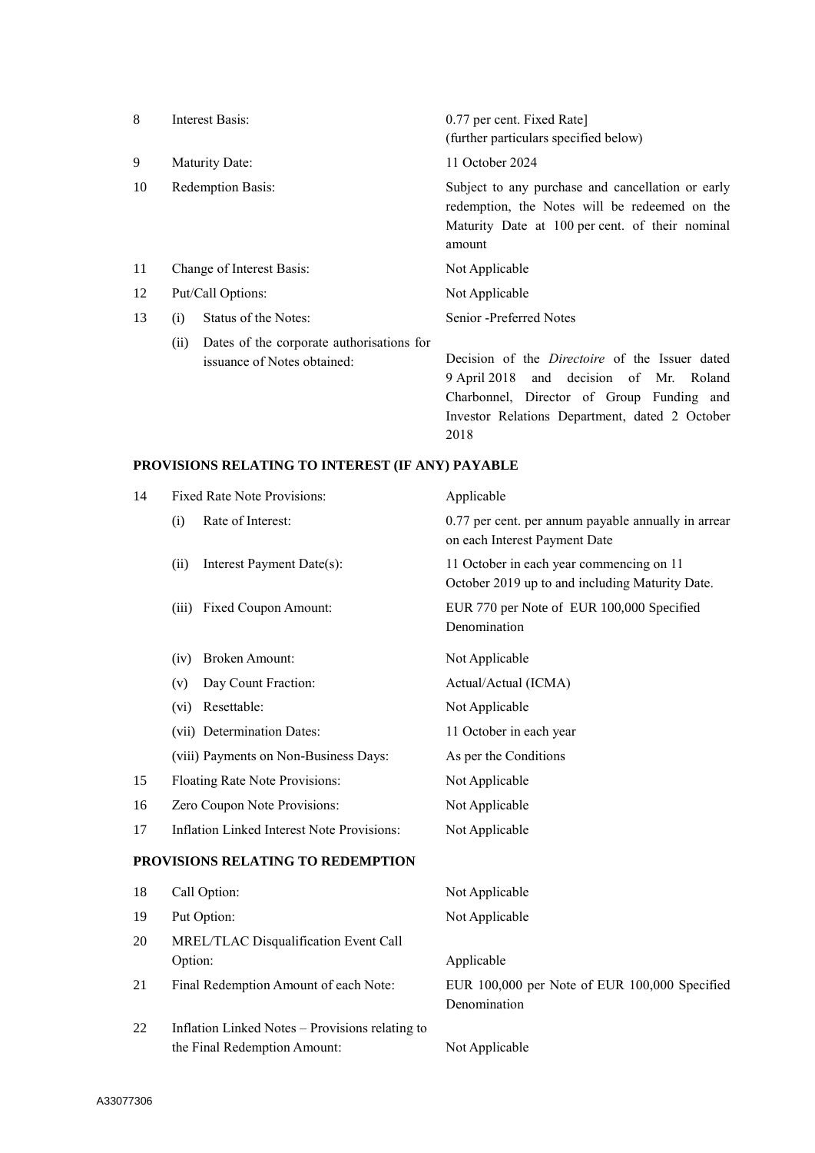| 8  |                           | Interest Basis:                                                          | 0.77 per cent. Fixed Rate]                                                                                                                                                                      |
|----|---------------------------|--------------------------------------------------------------------------|-------------------------------------------------------------------------------------------------------------------------------------------------------------------------------------------------|
|    |                           |                                                                          | (further particulars specified below)                                                                                                                                                           |
| 9  |                           | Maturity Date:                                                           | 11 October 2024                                                                                                                                                                                 |
| 10 | Redemption Basis:         |                                                                          | Subject to any purchase and cancellation or early<br>redemption, the Notes will be redeemed on the<br>Maturity Date at 100 per cent. of their nominal<br>amount                                 |
| 11 | Change of Interest Basis: |                                                                          | Not Applicable                                                                                                                                                                                  |
| 12 | Put/Call Options:         |                                                                          | Not Applicable                                                                                                                                                                                  |
| 13 | (i)                       | Status of the Notes:                                                     | Senior -Preferred Notes                                                                                                                                                                         |
|    | (ii)                      | Dates of the corporate authorisations for<br>issuance of Notes obtained: | Decision of the <i>Directoire</i> of the Issuer dated<br>9 April 2018 and decision of Mr. Roland<br>Charbonnel, Director of Group Funding and<br>Investor Relations Department, dated 2 October |

2018

# **PROVISIONS RELATING TO INTEREST (IF ANY) PAYABLE**

| 14 | Fixed Rate Note Provisions:                                                     | Applicable                                                                                  |
|----|---------------------------------------------------------------------------------|---------------------------------------------------------------------------------------------|
|    | Rate of Interest:<br>(i)                                                        | 0.77 per cent. per annum payable annually in arrear<br>on each Interest Payment Date        |
|    | Interest Payment Date(s):<br>(ii)                                               | 11 October in each year commencing on 11<br>October 2019 up to and including Maturity Date. |
|    | Fixed Coupon Amount:<br>(iii)                                                   | EUR 770 per Note of EUR 100,000 Specified<br>Denomination                                   |
|    | <b>Broken Amount:</b><br>(iv)                                                   | Not Applicable                                                                              |
|    | Day Count Fraction:<br>(v)                                                      | Actual/Actual (ICMA)                                                                        |
|    | Resettable:<br>(vi)                                                             | Not Applicable                                                                              |
|    | (vii) Determination Dates:                                                      | 11 October in each year                                                                     |
|    | (viii) Payments on Non-Business Days:                                           | As per the Conditions                                                                       |
| 15 | Floating Rate Note Provisions:                                                  | Not Applicable                                                                              |
| 16 | Zero Coupon Note Provisions:                                                    | Not Applicable                                                                              |
| 17 | <b>Inflation Linked Interest Note Provisions:</b>                               | Not Applicable                                                                              |
|    | PROVISIONS RELATING TO REDEMPTION                                               |                                                                                             |
| 18 | Call Option:                                                                    | Not Applicable                                                                              |
| 19 | Put Option:                                                                     | Not Applicable                                                                              |
| 20 | MREL/TLAC Disqualification Event Call                                           |                                                                                             |
|    | Option:                                                                         | Applicable                                                                                  |
| 21 | Final Redemption Amount of each Note:                                           | EUR 100,000 per Note of EUR 100,000 Specified<br>Denomination                               |
| 22 | Inflation Linked Notes - Provisions relating to<br>the Final Redemption Amount: | Not Applicable                                                                              |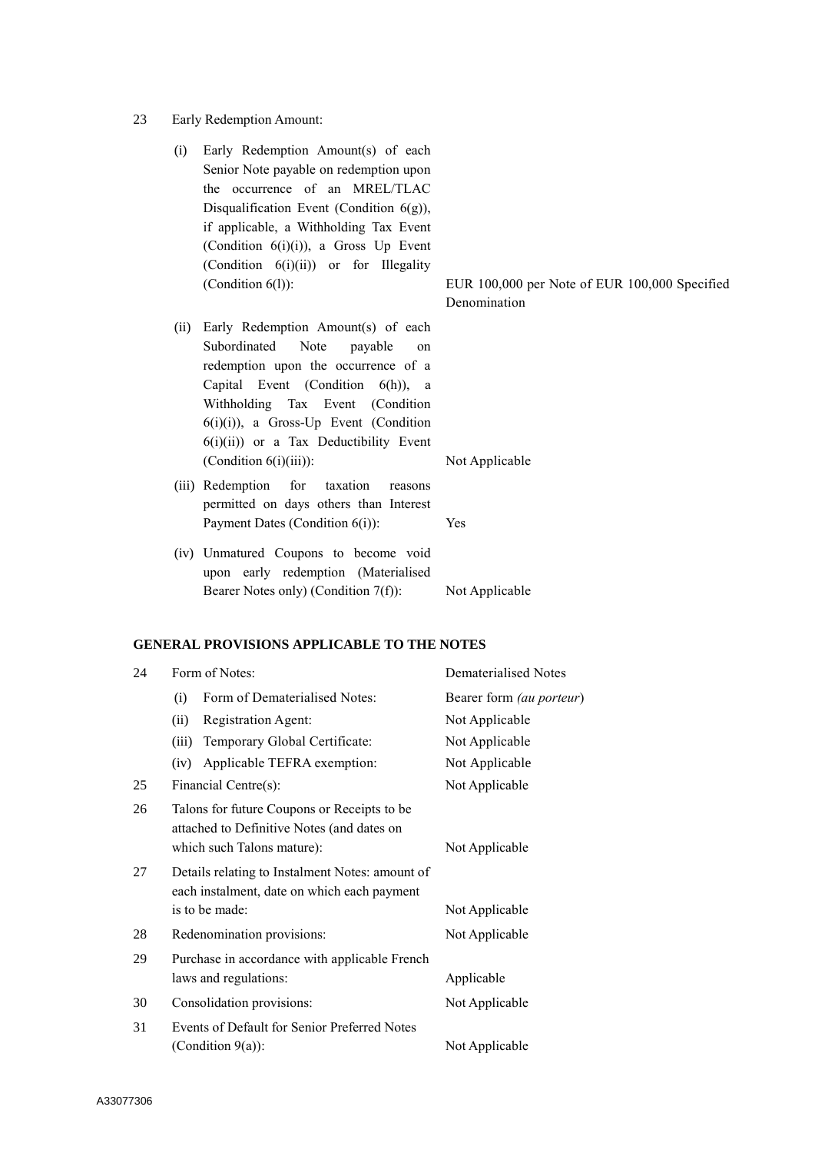- 23 Early Redemption Amount:
	- (i) Early Redemption Amount(s) of each Senior Note payable on redemption upon the occurrence of an MREL/TLAC Disqualification Event (Condition  $6(g)$ ), if applicable, a Withholding Tax Event (Condition 6(i)(i)), a Gross Up Event (Condition  $6(i)(ii)$ ) or for Illegality
	- (ii) Early Redemption Amount(s) of each Subordinated Note payable on redemption upon the occurrence of a Capital Event (Condition 6(h)), a Withholding Tax Event (Condition 6(i)(i)), a Gross-Up Event (Condition 6(i)(ii)) or a Tax Deductibility Event (Condition 6(i)(iii)): Not Applicable
	- (iii) Redemption for taxation reasons permitted on days others than Interest Payment Dates (Condition 6(i)): Yes
	- (iv) Unmatured Coupons to become void upon early redemption (Materialised Bearer Notes only) (Condition 7(f)): Not Applicable

#### **GENERAL PROVISIONS APPLICABLE TO THE NOTES**

| 24 | Form of Notes:                                                                                                          | <b>Dematerialised Notes</b> |
|----|-------------------------------------------------------------------------------------------------------------------------|-----------------------------|
|    | Form of Dematerialised Notes:<br>(i)                                                                                    | Bearer form (au porteur)    |
|    | Registration Agent:<br>(ii)                                                                                             | Not Applicable              |
|    | Temporary Global Certificate:<br>(iii)                                                                                  | Not Applicable              |
|    | Applicable TEFRA exemption:<br>(iv)                                                                                     | Not Applicable              |
| 25 | Financial Centre(s):                                                                                                    | Not Applicable              |
| 26 | Talons for future Coupons or Receipts to be<br>attached to Definitive Notes (and dates on<br>which such Talons mature): | Not Applicable              |
| 27 | Details relating to Instalment Notes: amount of<br>each instalment, date on which each payment<br>is to be made:        | Not Applicable              |
| 28 | Redenomination provisions:                                                                                              | Not Applicable              |
| 29 | Purchase in accordance with applicable French<br>laws and regulations:                                                  | Applicable                  |
| 30 | Consolidation provisions:                                                                                               | Not Applicable              |
| 31 | Events of Default for Senior Preferred Notes<br>(Condition $9(a)$ ):                                                    | Not Applicable              |

(Condition 6(l)): EUR 100,000 per Note of EUR 100,000 Specified Denomination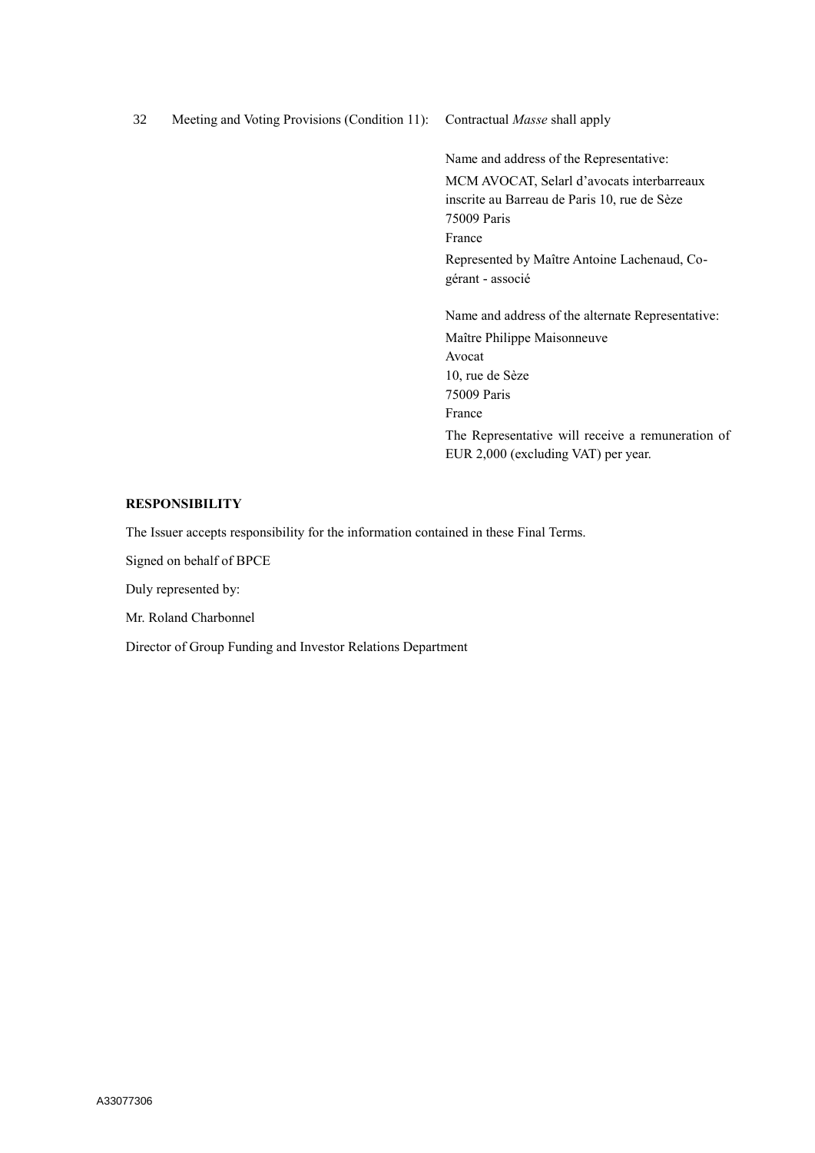32 Meeting and Voting Provisions (Condition 11): Contractual *Masse* shall apply

Name and address of the Representative: MCM AVOCAT, Selarl d'avocats interbarreaux inscrite au Barreau de Paris 10, rue de Sèze 75009 Paris France Represented by Maître Antoine Lachenaud, Cogérant - associé

Name and address of the alternate Representative: Maître Philippe Maisonneuve Avocat 10, rue de Sèze 75009 Paris France The Representative will receive a remuneration of EUR 2,000 (excluding VAT) per year.

### **RESPONSIBILITY**

The Issuer accepts responsibility for the information contained in these Final Terms.

Signed on behalf of BPCE

Duly represented by:

Mr. Roland Charbonnel

Director of Group Funding and Investor Relations Department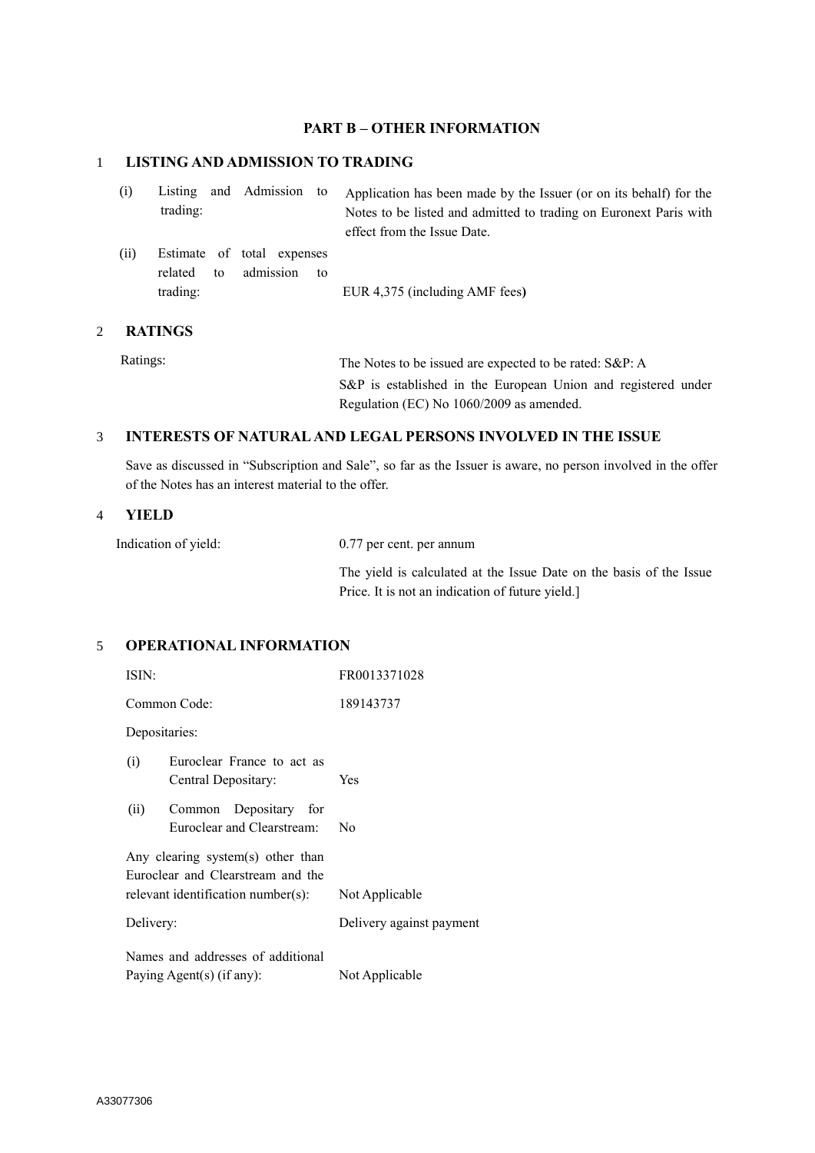# **PART B – OTHER INFORMATION**

# 1 **LISTING AND ADMISSION TO TRADING**

| (i)  | trading:               | Listing and Admission to                |    | Application has been made by the Issuer (or on its behalf) for the<br>Notes to be listed and admitted to trading on Euronext Paris with<br>effect from the Issue Date. |
|------|------------------------|-----------------------------------------|----|------------------------------------------------------------------------------------------------------------------------------------------------------------------------|
| (ii) | related to<br>trading: | Estimate of total expenses<br>admission | to | EUR 4,375 (including AMF fees)                                                                                                                                         |

### 2 **RATINGS**

Ratings: The Notes to be issued are expected to be rated: S&P: A S&P is established in the European Union and registered under Regulation (EC) No 1060/2009 as amended.

### 3 **INTERESTS OF NATURAL AND LEGAL PERSONS INVOLVED IN THE ISSUE**

Save as discussed in "Subscription and Sale", so far as the Issuer is aware, no person involved in the offer of the Notes has an interest material to the offer.

#### 4 **YIELD**

| Indication of yield: | 0.77 per cent. per annum                                                                                               |
|----------------------|------------------------------------------------------------------------------------------------------------------------|
|                      | The yield is calculated at the Issue Date on the basis of the Issue<br>Price. It is not an indication of future yield. |

## 5 **OPERATIONAL INFORMATION**

| ISIN:                                                                  | FR0013371028             |  |  |  |
|------------------------------------------------------------------------|--------------------------|--|--|--|
| Common Code:                                                           | 189143737                |  |  |  |
| Depositaries:                                                          |                          |  |  |  |
| Euroclear France to act as<br>(i)<br>Central Depositary:               | <b>Yes</b>               |  |  |  |
| (ii)<br>Common Depositary for<br>Euroclear and Clearstream:            | No                       |  |  |  |
| Any clearing system(s) other than<br>Euroclear and Clearstream and the |                          |  |  |  |
| relevant identification number(s):                                     | Not Applicable           |  |  |  |
| Delivery:                                                              | Delivery against payment |  |  |  |
| Names and addresses of additional                                      |                          |  |  |  |
| Paying Agent(s) (if any):                                              | Not Applicable           |  |  |  |